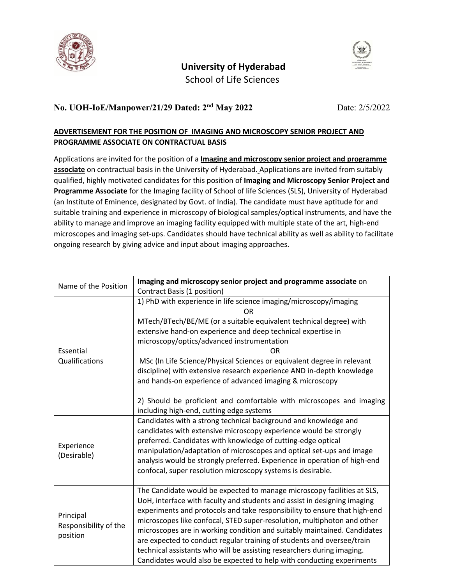

## **University of Hyderabad**



School of Life Sciences

# **No. UOH-IoE/Manpower/21/29 Dated: 2nd May 2022** Date: 2/5/2022

### **ADVERTISEMENT FOR THE POSITION OF IMAGING AND MICROSCOPY SENIOR PROJECT AND PROGRAMME ASSOCIATE ON CONTRACTUAL BASIS**

Applications are invited for the position of a **Imaging and microscopy senior project and programme associate** on contractual basis in the University of Hyderabad. Applications are invited from suitably qualified, highly motivated candidates for this position of **Imaging and Microscopy Senior Project and Programme Associate** for the Imaging facility of School of life Sciences (SLS), University of Hyderabad (an Institute of Eminence, designated by Govt. of India). The candidate must have aptitude for and suitable training and experience in microscopy of biological samples/optical instruments, and have the ability to manage and improve an imaging facility equipped with multiple state of the art, high-end microscopes and imaging set-ups. Candidates should have technical ability as well as ability to facilitate ongoing research by giving advice and input about imaging approaches.

| Name of the Position                           | Imaging and microscopy senior project and programme associate on                                                                                                                                                                                                                                                                                                                                                                                                                                                                                                                                                     |
|------------------------------------------------|----------------------------------------------------------------------------------------------------------------------------------------------------------------------------------------------------------------------------------------------------------------------------------------------------------------------------------------------------------------------------------------------------------------------------------------------------------------------------------------------------------------------------------------------------------------------------------------------------------------------|
|                                                | Contract Basis (1 position)                                                                                                                                                                                                                                                                                                                                                                                                                                                                                                                                                                                          |
| Essential<br>Qualifications                    | 1) PhD with experience in life science imaging/microscopy/imaging<br>ΩR                                                                                                                                                                                                                                                                                                                                                                                                                                                                                                                                              |
|                                                | MTech/BTech/BE/ME (or a suitable equivalent technical degree) with                                                                                                                                                                                                                                                                                                                                                                                                                                                                                                                                                   |
|                                                | extensive hand-on experience and deep technical expertise in                                                                                                                                                                                                                                                                                                                                                                                                                                                                                                                                                         |
|                                                | microscopy/optics/advanced instrumentation<br>OR                                                                                                                                                                                                                                                                                                                                                                                                                                                                                                                                                                     |
|                                                | MSc (In Life Science/Physical Sciences or equivalent degree in relevant<br>discipline) with extensive research experience AND in-depth knowledge                                                                                                                                                                                                                                                                                                                                                                                                                                                                     |
|                                                | and hands-on experience of advanced imaging & microscopy                                                                                                                                                                                                                                                                                                                                                                                                                                                                                                                                                             |
|                                                | 2) Should be proficient and comfortable with microscopes and imaging<br>including high-end, cutting edge systems                                                                                                                                                                                                                                                                                                                                                                                                                                                                                                     |
| Experience<br>(Desirable)                      | Candidates with a strong technical background and knowledge and<br>candidates with extensive microscopy experience would be strongly<br>preferred. Candidates with knowledge of cutting-edge optical<br>manipulation/adaptation of microscopes and optical set-ups and image<br>analysis would be strongly preferred. Experience in operation of high-end<br>confocal, super resolution microscopy systems is desirable.                                                                                                                                                                                             |
|                                                |                                                                                                                                                                                                                                                                                                                                                                                                                                                                                                                                                                                                                      |
| Principal<br>Responsibility of the<br>position | The Candidate would be expected to manage microscopy facilities at SLS,<br>UoH, interface with faculty and students and assist in designing imaging<br>experiments and protocols and take responsibility to ensure that high-end<br>microscopes like confocal, STED super-resolution, multiphoton and other<br>microscopes are in working condition and suitably maintained. Candidates<br>are expected to conduct regular training of students and oversee/train<br>technical assistants who will be assisting researchers during imaging.<br>Candidates would also be expected to help with conducting experiments |